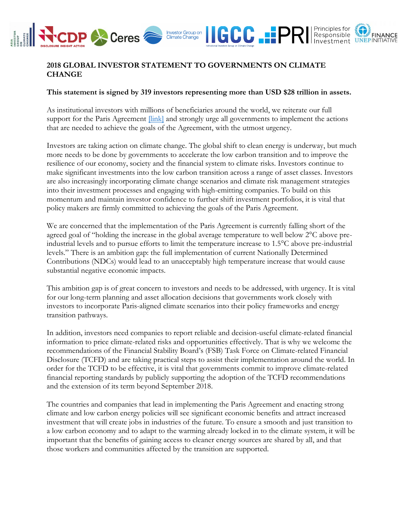

## **2018 GLOBAL INVESTOR STATEMENT TO GOVERNMENTS ON CLIMATE CHANGE**

## **This statement is signed by 319 investors representing more than USD \$28 trillion in assets.**

As institutional investors with millions of beneficiaries around the world, we reiterate our full support for the Paris Agreement  $\frac{||\text{link}||}{||\text{link}||}$  and strongly urge all governments to implement the actions that are needed to achieve the goals of the Agreement, with the utmost urgency.

Investors are taking action on climate change. The global shift to clean energy is underway, but much more needs to be done by governments to accelerate the low carbon transition and to improve the resilience of our economy, society and the financial system to climate risks. Investors continue to make significant investments into the low carbon transition across a range of asset classes. Investors are also increasingly incorporating climate change scenarios and climate risk management strategies into their investment processes and engaging with high-emitting companies. To build on this momentum and maintain investor confidence to further shift investment portfolios, it is vital that policy makers are firmly committed to achieving the goals of the Paris Agreement.

We are concerned that the implementation of the Paris Agreement is currently falling short of the agreed goal of "holding the increase in the global average temperature to well below 2°C above preindustrial levels and to pursue efforts to limit the temperature increase to 1.5°C above pre-industrial levels." There is an ambition gap: the full implementation of current Nationally Determined Contributions (NDCs) would lead to an unacceptably high temperature increase that would cause substantial negative economic impacts.

This ambition gap is of great concern to investors and needs to be addressed, with urgency. It is vital for our long-term planning and asset allocation decisions that governments work closely with investors to incorporate Paris-aligned climate scenarios into their policy frameworks and energy transition pathways.

In addition, investors need companies to report reliable and decision-useful climate-related financial information to price climate-related risks and opportunities effectively. That is why we welcome the recommendations of the Financial Stability Board's (FSB) Task Force on Climate-related Financial Disclosure (TCFD) and are taking practical steps to assist their implementation around the world. In order for the TCFD to be effective, it is vital that governments commit to improve climate-related financial reporting standards by publicly supporting the adoption of the TCFD recommendations and the extension of its term beyond September 2018.

The countries and companies that lead in implementing the Paris Agreement and enacting strong climate and low carbon energy policies will see significant economic benefits and attract increased investment that will create jobs in industries of the future. To ensure a smooth and just transition to a low carbon economy and to adapt to the warming already locked in to the climate system, it will be important that the benefits of gaining access to cleaner energy sources are shared by all, and that those workers and communities affected by the transition are supported.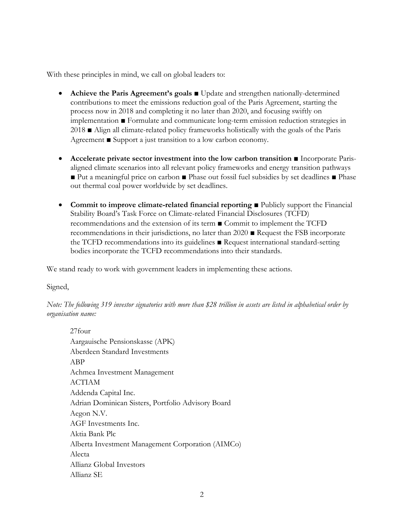With these principles in mind, we call on global leaders to:

- **Achieve the Paris Agreement's goals** Update and strengthen nationally-determined contributions to meet the emissions reduction goal of the Paris Agreement, starting the process now in 2018 and completing it no later than 2020, and focusing swiftly on implementation ■ Formulate and communicate long-term emission reduction strategies in 2018 ■ Align all climate-related policy frameworks holistically with the goals of the Paris Agreement ■ Support a just transition to a low carbon economy.
- **Accelerate private sector investment into the low carbon transition** Incorporate Parisaligned climate scenarios into all relevant policy frameworks and energy transition pathways ■ Put a meaningful price on carbon ■ Phase out fossil fuel subsidies by set deadlines ■ Phase out thermal coal power worldwide by set deadlines.
- **Commit to improve climate-related financial reporting** Publicly support the Financial Stability Board's Task Force on Climate-related Financial Disclosures (TCFD) recommendations and the extension of its term ■ Commit to implement the TCFD recommendations in their jurisdictions, no later than 2020 ■ Request the FSB incorporate the TCFD recommendations into its guidelines ■ Request international standard-setting bodies incorporate the TCFD recommendations into their standards.

We stand ready to work with government leaders in implementing these actions.

Signed,

*Note: The following 319 investor signatories with more than \$28 trillion in assets are listed in alphabetical order by organisation name:*

27four Aargauische Pensionskasse (APK) Aberdeen Standard Investments ABP Achmea Investment Management ACTIAM Addenda Capital Inc. Adrian Dominican Sisters, Portfolio Advisory Board Aegon N.V. AGF Investments Inc. Aktia Bank Plc Alberta Investment Management Corporation (AIMCo) Alecta Allianz Global Investors Allianz SE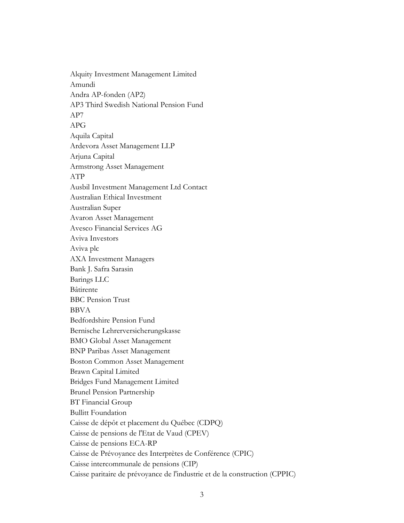Alquity Investment Management Limited Amundi Andra AP-fonden (AP2) AP3 Third Swedish National Pension Fund AP7 APG Aquila Capital Ardevora Asset Management LLP Arjuna Capital Armstrong Asset Management ATP Ausbil Investment Management Ltd Contact Australian Ethical Investment Australian Super Avaron Asset Management Avesco Financial Services AG Aviva Investors Aviva plc AXA Investment Managers Bank J. Safra Sarasin Barings LLC Bâtirente BBC Pension Trust BBVA Bedfordshire Pension Fund Bernische Lehrerversicherungskasse BMO Global Asset Management BNP Paribas Asset Management Boston Common Asset Management Brawn Capital Limited Bridges Fund Management Limited Brunel Pension Partnership BT Financial Group Bullitt Foundation Caisse de dépôt et placement du Québec (CDPQ) Caisse de pensions de l'Etat de Vaud (CPEV) Caisse de pensions ECA-RP Caisse de Prévoyance des Interprètes de Conférence (CPIC) Caisse intercommunale de pensions (CIP) Caisse paritaire de prévoyance de l'industrie et de la construction (CPPIC)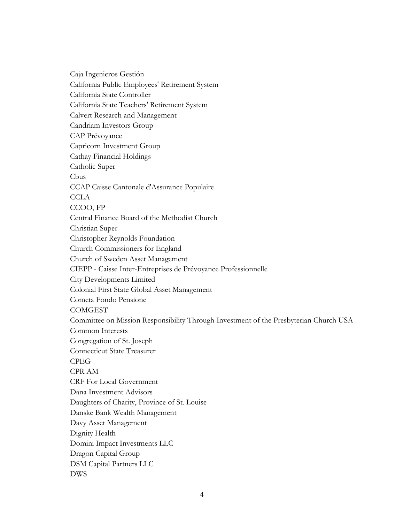Caja Ingenieros Gestión California Public Employees' Retirement System California State Controller California State Teachers' Retirement System Calvert Research and Management Candriam Investors Group CAP Prévoyance Capricorn Investment Group Cathay Financial Holdings Catholic Super Cbus CCAP Caisse Cantonale d'Assurance Populaire **CCLA** CCOO, FP Central Finance Board of the Methodist Church Christian Super Christopher Reynolds Foundation Church Commissioners for England Church of Sweden Asset Management CIEPP - Caisse Inter-Entreprises de Prévoyance Professionnelle City Developments Limited Colonial First State Global Asset Management Cometa Fondo Pensione **COMGEST** Committee on Mission Responsibility Through Investment of the Presbyterian Church USA Common Interests Congregation of St. Joseph Connecticut State Treasurer CPEG CPR AM CRF For Local Government Dana Investment Advisors Daughters of Charity, Province of St. Louise Danske Bank Wealth Management Davy Asset Management Dignity Health Domini Impact Investments LLC Dragon Capital Group DSM Capital Partners LLC DWS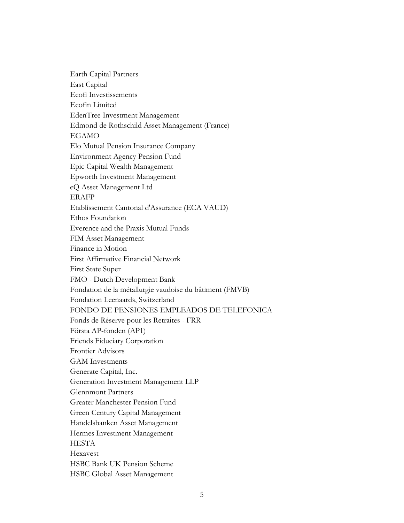Earth Capital Partners East Capital Ecofi Investissements Ecofin Limited EdenTree Investment Management Edmond de Rothschild Asset Management (France) EGAMO Elo Mutual Pension Insurance Company Environment Agency Pension Fund Epic Capital Wealth Management Epworth Investment Management eQ Asset Management Ltd ERAFP Etablissement Cantonal d'Assurance (ECA VAUD) Ethos Foundation Everence and the Praxis Mutual Funds FIM Asset Management Finance in Motion First Affirmative Financial Network First State Super FMO - Dutch Development Bank Fondation de la métallurgie vaudoise du bâtiment (FMVB) Fondation Leenaards, Switzerland FONDO DE PENSIONES EMPLEADOS DE TELEFONICA Fonds de Réserve pour les Retraites - FRR Första AP-fonden (AP1) Friends Fiduciary Corporation Frontier Advisors GAM Investments Generate Capital, Inc. Generation Investment Management LLP Glennmont Partners Greater Manchester Pension Fund Green Century Capital Management Handelsbanken Asset Management Hermes Investment Management HESTA Hexavest HSBC Bank UK Pension Scheme HSBC Global Asset Management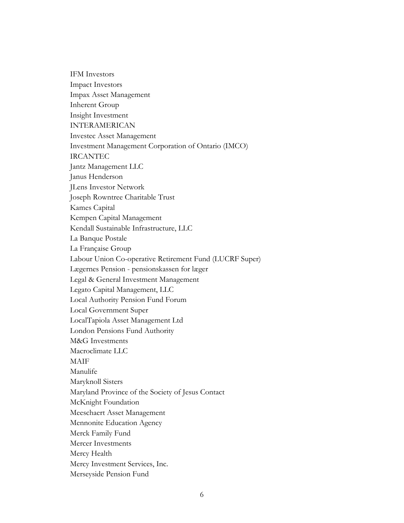IFM Investors Impact Investors Impax Asset Management Inherent Group Insight Investment INTERAMERICAN Investec Asset Management Investment Management Corporation of Ontario (IMCO) IRCANTEC Jantz Management LLC Janus Henderson JLens Investor Network Joseph Rowntree Charitable Trust Kames Capital Kempen Capital Management Kendall Sustainable Infrastructure, LLC La Banque Postale La Française Group Labour Union Co-operative Retirement Fund (LUCRF Super) Lægernes Pension - pensionskassen for læger Legal & General Investment Management Legato Capital Management, LLC Local Authority Pension Fund Forum Local Government Super LocalTapiola Asset Management Ltd London Pensions Fund Authority M&G Investments Macroclimate LLC MAIF Manulife Maryknoll Sisters Maryland Province of the Society of Jesus Contact McKnight Foundation Meeschaert Asset Management Mennonite Education Agency Merck Family Fund Mercer Investments Mercy Health Mercy Investment Services, Inc. Merseyside Pension Fund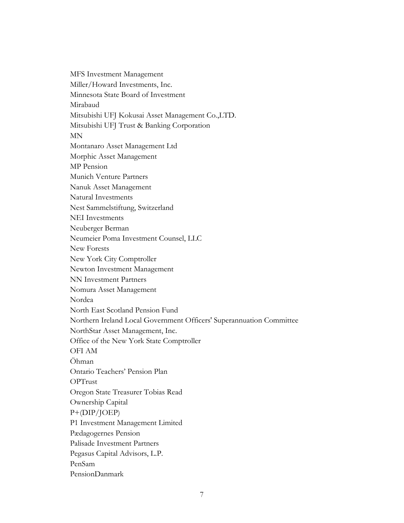MFS Investment Management Miller/Howard Investments, Inc. Minnesota State Board of Investment Mirabaud Mitsubishi UFJ Kokusai Asset Management Co.,LTD. Mitsubishi UFJ Trust & Banking Corporation MN Montanaro Asset Management Ltd Morphic Asset Management MP Pension Munich Venture Partners Nanuk Asset Management Natural Investments Nest Sammelstiftung, Switzerland NEI Investments Neuberger Berman Neumeier Poma Investment Counsel, LLC New Forests New York City Comptroller Newton Investment Management NN Investment Partners Nomura Asset Management Nordea North East Scotland Pension Fund Northern Ireland Local Government Officers' Superannuation Committee NorthStar Asset Management, Inc. Office of the New York State Comptroller OFI AM Öhman Ontario Teachers' Pension Plan OPTrust Oregon State Treasurer Tobias Read Ownership Capital P+(DIP/JOEP) P1 Investment Management Limited Pædagogernes Pension Palisade Investment Partners Pegasus Capital Advisors, L.P. PenSam PensionDanmark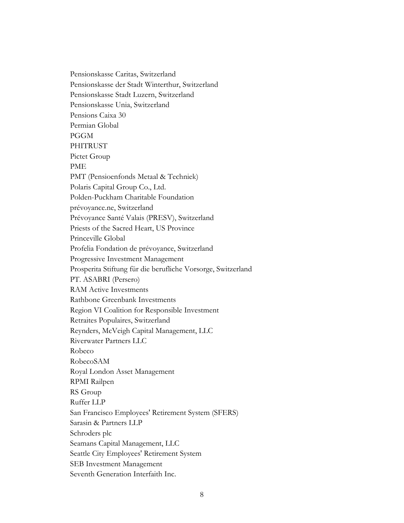Pensionskasse Caritas, Switzerland Pensionskasse der Stadt Winterthur, Switzerland Pensionskasse Stadt Luzern, Switzerland Pensionskasse Unia, Switzerland Pensions Caixa 30 Permian Global PGGM PHITRUST Pictet Group PME PMT (Pensioenfonds Metaal & Techniek) Polaris Capital Group Co., Ltd. Polden-Puckham Charitable Foundation prévoyance.ne, Switzerland Prévoyance Santé Valais (PRESV), Switzerland Priests of the Sacred Heart, US Province Princeville Global Profelia Fondation de prévoyance, Switzerland Progressive Investment Management Prosperita Stiftung für die berufliche Vorsorge, Switzerland PT. ASABRI (Persero) RAM Active Investments Rathbone Greenbank Investments Region VI Coalition for Responsible Investment Retraites Populaires, Switzerland Reynders, McVeigh Capital Management, LLC Riverwater Partners LLC Robeco RobecoSAM Royal London Asset Management RPMI Railpen RS Group Ruffer LLP San Francisco Employees' Retirement System (SFERS) Sarasin & Partners LLP Schroders plc Seamans Capital Management, LLC Seattle City Employees' Retirement System SEB Investment Management Seventh Generation Interfaith Inc.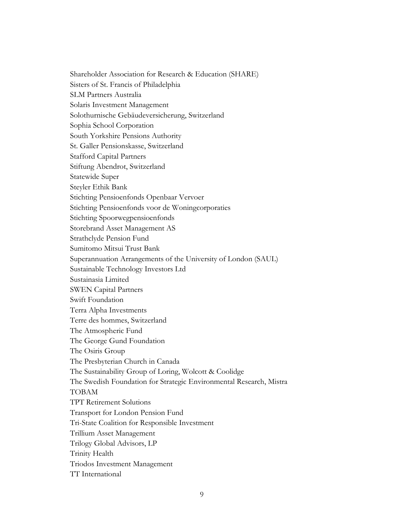Shareholder Association for Research & Education (SHARE) Sisters of St. Francis of Philadelphia SLM Partners Australia Solaris Investment Management Solothurnische Gebäudeversicherung, Switzerland Sophia School Corporation South Yorkshire Pensions Authority St. Galler Pensionskasse, Switzerland Stafford Capital Partners Stiftung Abendrot, Switzerland Statewide Super Steyler Ethik Bank Stichting Pensioenfonds Openbaar Vervoer Stichting Pensioenfonds voor de Woningcorporaties Stichting Spoorwegpensioenfonds Storebrand Asset Management AS Strathclyde Pension Fund Sumitomo Mitsui Trust Bank Superannuation Arrangements of the University of London (SAUL) Sustainable Technology Investors Ltd Sustainasia Limited SWEN Capital Partners Swift Foundation Terra Alpha Investments Terre des hommes, Switzerland The Atmospheric Fund The George Gund Foundation The Osiris Group The Presbyterian Church in Canada The Sustainability Group of Loring, Wolcott & Coolidge The Swedish Foundation for Strategic Environmental Research, Mistra TOBAM TPT Retirement Solutions Transport for London Pension Fund Tri-State Coalition for Responsible Investment Trillium Asset Management Trilogy Global Advisors, LP Trinity Health Triodos Investment Management TT International